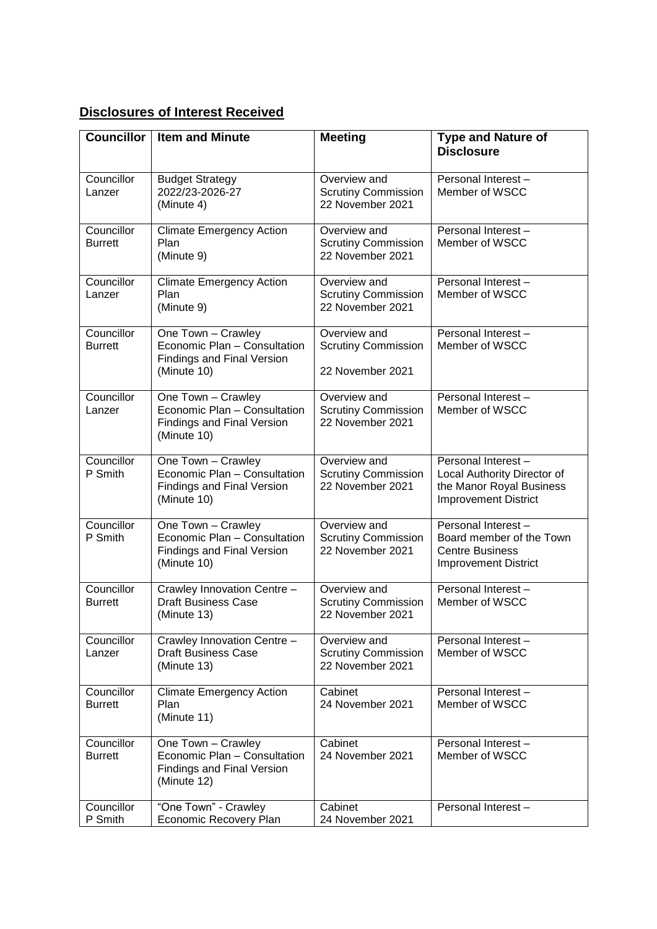## **Disclosures of Interest Received**

| <b>Councillor</b>            | <b>Item and Minute</b>                                                                                 | <b>Meeting</b>                                                 | <b>Type and Nature of</b>                                                                                    |
|------------------------------|--------------------------------------------------------------------------------------------------------|----------------------------------------------------------------|--------------------------------------------------------------------------------------------------------------|
|                              |                                                                                                        |                                                                | <b>Disclosure</b>                                                                                            |
| Councillor<br>Lanzer         | <b>Budget Strategy</b><br>2022/23-2026-27<br>(Minute 4)                                                | Overview and<br><b>Scrutiny Commission</b><br>22 November 2021 | Personal Interest-<br>Member of WSCC                                                                         |
| Councillor<br><b>Burrett</b> | <b>Climate Emergency Action</b><br>Plan<br>(Minute 9)                                                  | Overview and<br><b>Scrutiny Commission</b><br>22 November 2021 | Personal Interest -<br>Member of WSCC                                                                        |
| Councillor<br>Lanzer         | <b>Climate Emergency Action</b><br>Plan<br>(Minute 9)                                                  | Overview and<br><b>Scrutiny Commission</b><br>22 November 2021 | Personal Interest-<br>Member of WSCC                                                                         |
| Councillor<br><b>Burrett</b> | One Town - Crawley<br>Economic Plan - Consultation<br><b>Findings and Final Version</b><br>(Minute 10) | Overview and<br><b>Scrutiny Commission</b><br>22 November 2021 | Personal Interest-<br>Member of WSCC                                                                         |
| Councillor<br>Lanzer         | One Town - Crawley<br>Economic Plan - Consultation<br><b>Findings and Final Version</b><br>(Minute 10) | Overview and<br><b>Scrutiny Commission</b><br>22 November 2021 | Personal Interest-<br>Member of WSCC                                                                         |
| Councillor<br>P Smith        | One Town - Crawley<br>Economic Plan - Consultation<br><b>Findings and Final Version</b><br>(Minute 10) | Overview and<br><b>Scrutiny Commission</b><br>22 November 2021 | Personal Interest-<br>Local Authority Director of<br>the Manor Royal Business<br><b>Improvement District</b> |
| Councillor<br>P Smith        | One Town - Crawley<br>Economic Plan - Consultation<br><b>Findings and Final Version</b><br>(Minute 10) | Overview and<br><b>Scrutiny Commission</b><br>22 November 2021 | Personal Interest-<br>Board member of the Town<br><b>Centre Business</b><br><b>Improvement District</b>      |
| Councillor<br><b>Burrett</b> | Crawley Innovation Centre -<br><b>Draft Business Case</b><br>(Minute 13)                               | Overview and<br><b>Scrutiny Commission</b><br>22 November 2021 | Personal Interest-<br>Member of WSCC                                                                         |
| Councillor<br>Lanzer         | Crawley Innovation Centre -<br><b>Draft Business Case</b><br>(Minute 13)                               | Overview and<br><b>Scrutiny Commission</b><br>22 November 2021 | Personal Interest-<br>Member of WSCC                                                                         |
| Councillor<br><b>Burrett</b> | <b>Climate Emergency Action</b><br>Plan<br>(Minute 11)                                                 | Cabinet<br>24 November 2021                                    | Personal Interest-<br>Member of WSCC                                                                         |
| Councillor<br><b>Burrett</b> | One Town - Crawley<br>Economic Plan - Consultation<br>Findings and Final Version<br>(Minute 12)        | Cabinet<br>24 November 2021                                    | Personal Interest-<br>Member of WSCC                                                                         |
| Councillor<br>P Smith        | "One Town" - Crawley<br>Economic Recovery Plan                                                         | Cabinet<br>24 November 2021                                    | Personal Interest-                                                                                           |